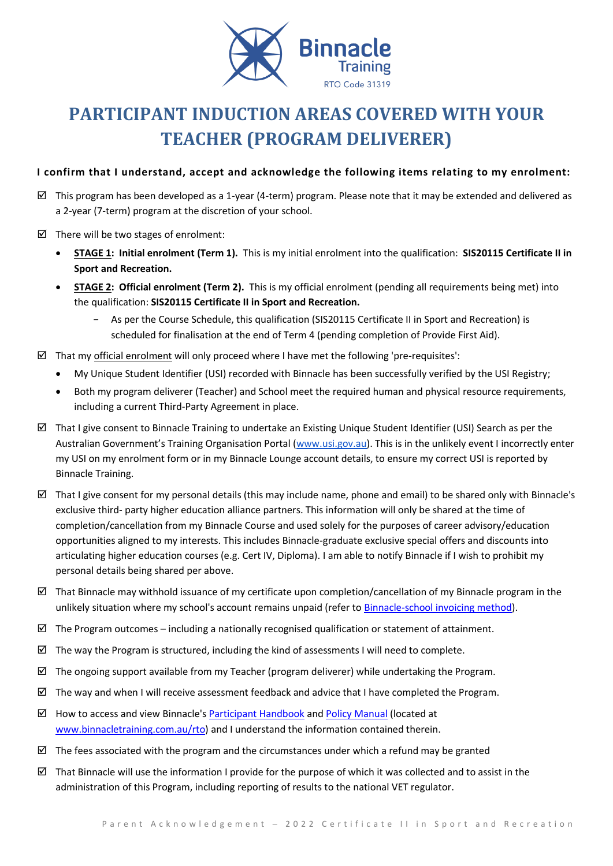

# **PARTICIPANT INDUCTION AREAS COVERED WITH YOUR TEACHER (PROGRAM DELIVERER)**

## **I confirm that I understand, accept and acknowledge the following items relating to my enrolment:**

- $\boxtimes$  This program has been developed as a 1-year (4-term) program. Please note that it may be extended and delivered as a 2-year (7-term) program at the discretion of your school.
- $\boxtimes$  There will be two stages of enrolment:
	- **STAGE 1: Initial enrolment (Term 1).** This is my initial enrolment into the qualification: **SIS20115 Certificate II in Sport and Recreation.**
	- **STAGE 2: Official enrolment (Term 2).** This is my official enrolment (pending all requirements being met) into the qualification: **SIS20115 Certificate II in Sport and Recreation.**
		- As per the Course Schedule, this qualification (SIS20115 Certificate II in Sport and Recreation) is scheduled for finalisation at the end of Term 4 (pending completion of Provide First Aid).
- $\boxtimes$  That my official enrolment will only proceed where I have met the following 'pre-requisites':
	- My Unique Student Identifier (USI) recorded with Binnacle has been successfully verified by the USI Registry;
	- Both my program deliverer (Teacher) and School meet the required human and physical resource requirements, including a current Third-Party Agreement in place.
- $\boxtimes$  That I give consent to Binnacle Training to undertake an Existing Unique Student Identifier (USI) Search as per the Australian Government's Training Organisation Portal ([www.usi.gov.au\)](http://www.usi.gov.au/). This is in the unlikely event I incorrectly enter my USI on my enrolment form or in my Binnacle Lounge account details, to ensure my correct USI is reported by Binnacle Training.
- $\boxtimes$  That I give consent for my personal details (this may include name, phone and email) to be shared only with Binnacle's exclusive third- party higher education alliance partners. This information will only be shared at the time of completion/cancellation from my Binnacle Course and used solely for the purposes of career advisory/education opportunities aligned to my interests. This includes Binnacle-graduate exclusive special offers and discounts into articulating higher education courses (e.g. Cert IV, Diploma). I am able to notify Binnacle if I wish to prohibit my personal details being shared per above.
- That Binnacle may withhold issuance of my certificate upon completion/cancellation of my Binnacle program in the unlikely situation where my school's account remains unpaid (refer t[o Binnacle-school invoicing method\)](http://www.binnacletraining.com.au/services-pricing.php).
- $\boxtimes$  The Program outcomes including a nationally recognised qualification or statement of attainment.
- $\boxtimes$  The way the Program is structured, including the kind of assessments I will need to complete.
- $\boxtimes$  The ongoing support available from my Teacher (program deliverer) while undertaking the Program.
- $\boxtimes$  The way and when I will receive assessment feedback and advice that I have completed the Program.
- $\boxtimes$  How to access and view Binnacle's [Participant Handbook](http://www.binnacletraining.com.au/rto.php) an[d Policy Manual](http://www.binnacletraining.com.au/rto.php) (located at [www.binnacletraining.com.au/rto\)](http://www.binnacletraining.com.au/rto) and I understand the information contained therein.
- $\boxtimes$  The fees associated with the program and the circumstances under which a refund may be granted
- That Binnacle will use the information I provide for the purpose of which it was collected and to assist in the administration of this Program, including reporting of results to the national VET regulator.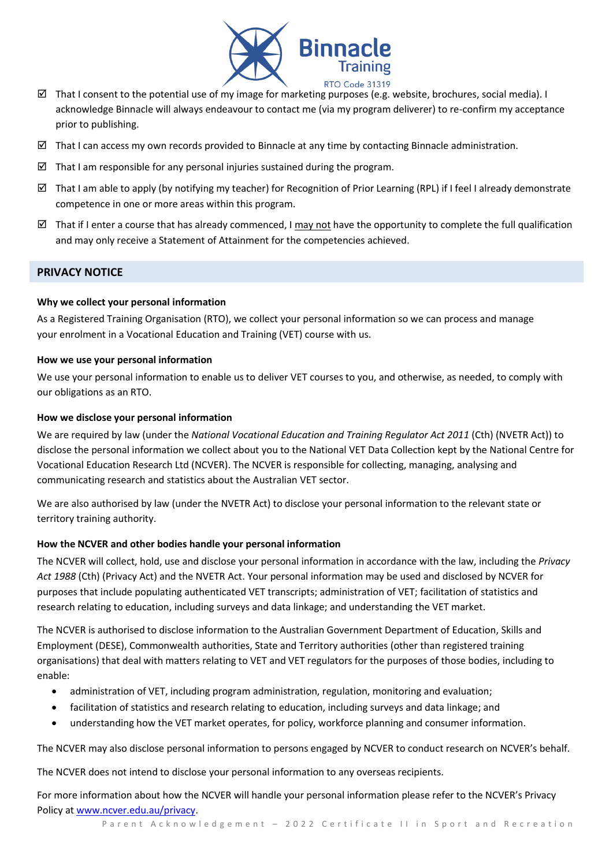

- That I consent to the potential use of my image for marketing purposes (e.g. website, brochures, social media). I acknowledge Binnacle will always endeavour to contact me (via my program deliverer) to re-confirm my acceptance prior to publishing.
- $\boxtimes$  That I can access my own records provided to Binnacle at any time by contacting Binnacle administration.
- That I am responsible for any personal injuries sustained during the program.
- $\boxtimes$  That I am able to apply (by notifying my teacher) for Recognition of Prior Learning (RPL) if I feel I already demonstrate competence in one or more areas within this program.
- That if I enter a course that has already commenced. I may not have the opportunity to complete the full qualification and may only receive a Statement of Attainment for the competencies achieved.

## **PRIVACY NOTICE**

## **Why we collect your personal information**

As a Registered Training Organisation (RTO), we collect your personal information so we can process and manage your enrolment in a Vocational Education and Training (VET) course with us.

#### **How we use your personal information**

We use your personal information to enable us to deliver VET courses to you, and otherwise, as needed, to comply with our obligations as an RTO.

#### **How we disclose your personal information**

We are required by law (under the *National Vocational Education and Training Regulator Act 2011* (Cth) (NVETR Act)) to disclose the personal information we collect about you to the National VET Data Collection kept by the National Centre for Vocational Education Research Ltd (NCVER). The NCVER is responsible for collecting, managing, analysing and communicating research and statistics about the Australian VET sector.

We are also authorised by law (under the NVETR Act) to disclose your personal information to the relevant state or territory training authority.

## **How the NCVER and other bodies handle your personal information**

The NCVER will collect, hold, use and disclose your personal information in accordance with the law, including the *Privacy Act 1988* (Cth) (Privacy Act) and the NVETR Act. Your personal information may be used and disclosed by NCVER for purposes that include populating authenticated VET transcripts; administration of VET; facilitation of statistics and research relating to education, including surveys and data linkage; and understanding the VET market.

The NCVER is authorised to disclose information to the Australian Government Department of Education, Skills and Employment (DESE), Commonwealth authorities, State and Territory authorities (other than registered training organisations) that deal with matters relating to VET and VET regulators for the purposes of those bodies, including to enable:

- administration of VET, including program administration, regulation, monitoring and evaluation;
- facilitation of statistics and research relating to education, including surveys and data linkage; and
- understanding how the VET market operates, for policy, workforce planning and consumer information.

The NCVER may also disclose personal information to persons engaged by NCVER to conduct research on NCVER's behalf.

The NCVER does not intend to disclose your personal information to any overseas recipients.

For more information about how the NCVER will handle your personal information please refer to the NCVER's Privacy Policy at [www.ncver.edu.au/privacy.](http://www.ncver.edu.au/privacy)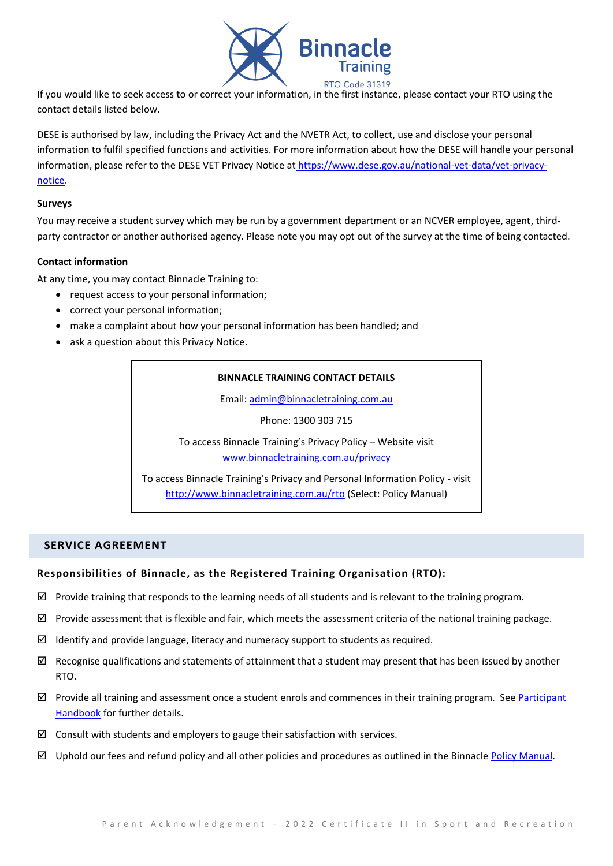

If you would like to seek access to or correct your information, in the first instance, please contact your RTO using the contact details listed below.

DESE is authorised by law, including the Privacy Act and the NVETR Act, to collect, use and disclose your personal information to fulfil specified functions and activities. For more information about how the DESE will handle your personal information, please refer to the DESE VET Privacy Notice at [https://www.dese.gov.au/national-vet-data/vet-privacy](https://www.dese.gov.au/national-vet-data/vet-privacy-notice)[notice.](https://www.dese.gov.au/national-vet-data/vet-privacy-notice)

#### **Surveys**

You may receive a student survey which may be run by a government department or an NCVER employee, agent, thirdparty contractor or another authorised agency. Please note you may opt out of the survey at the time of being contacted.

#### **Contact information**

At any time, you may contact Binnacle Training to:

- request access to your personal information;
- correct your personal information;
- make a complaint about how your personal information has been handled; and
- ask a question about this Privacy Notice.

## **BINNACLE TRAINING CONTACT DETAILS**

Email: [admin@binnacletraining.com.au](mailto:admin@binnacletraining.com.au)

Phone: 1300 303 715

To access Binnacle Training's Privacy Policy – Website visit [www.binnacletraining.com.au/privacy](http://www.binnacletraining.com.au/privacy)

To access Binnacle Training's Privacy and Personal Information Policy - visit <http://www.binnacletraining.com.au/rto> (Select: Policy Manual)

## **SERVICE AGREEMENT**

## **Responsibilities of Binnacle, as the Registered Training Organisation (RTO):**

- $\boxtimes$  Provide training that responds to the learning needs of all students and is relevant to the training program.
- $\boxtimes$  Provide assessment that is flexible and fair, which meets the assessment criteria of the national training package.
- $\boxtimes$  Identify and provide language, literacy and numeracy support to students as required.
- $\boxtimes$  Recognise qualifications and statements of attainment that a student may present that has been issued by another RTO.
- $\boxtimes$  Provide all training and assessment once a student enrols and commences in their training program. See Participant [Handbook](http://www.binnacletraining.com.au/rto.php) for further details.
- $\boxtimes$  Consult with students and employers to gauge their satisfaction with services.
- $\boxtimes$  Uphold our fees and refund policy and all other policies and procedures as outlined in the Binnacle [Policy Manual.](http://www.binnacletraining.com.au/rto.php)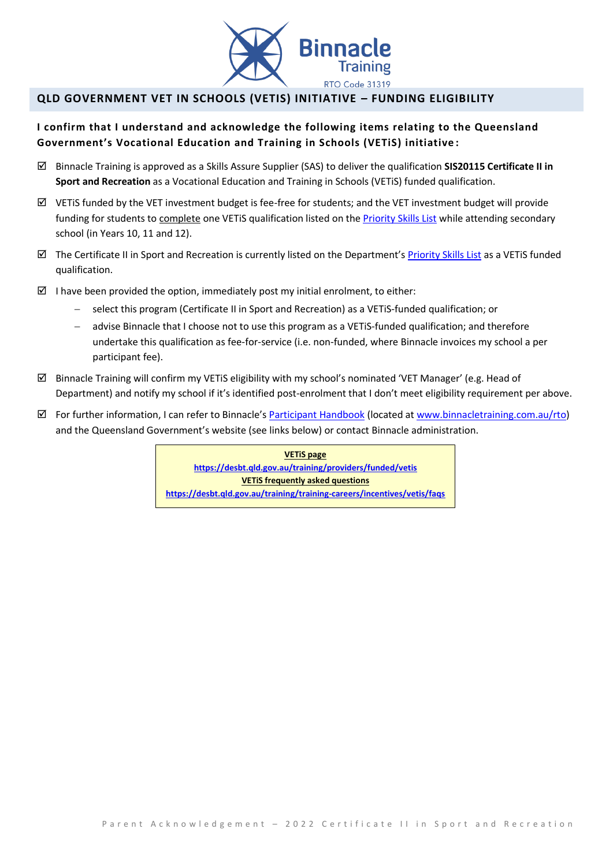

# **QLD GOVERNMENT VET IN SCHOOLS (VETIS) INITIATIVE – FUNDING ELIGIBILITY**

# **I confirm that I understand and acknowledge the following items relating to the Queensland Government's Vocational Education and Training in Schools (VETiS) initiative :**

- Binnacle Training is approved as a Skills Assure Supplier (SAS) to deliver the qualification **SIS20115 Certificate II in Sport and Recreation** as a Vocational Education and Training in Schools (VETiS) funded qualification.
- $\boxtimes$  VETiS funded by the VET investment budget is fee-free for students; and the VET investment budget will provide funding for students to complete one VETiS qualification listed on th[e Priority Skills List](https://desbt.qld.gov.au/training/docs-data/strategies/vetinvest/subsidieslist) while attending secondary school (in Years 10, 11 and 12).
- $\boxtimes$  The Certificate II in Sport and Recreation is currently listed on the Department's [Priority Skills List](https://desbt.qld.gov.au/training/docs-data/strategies/vetinvest/subsidieslist) as a VETiS funded qualification.
- I have been provided the option, immediately post my initial enrolment, to either:
	- − select this program (Certificate II in Sport and Recreation) as a VETiS-funded qualification; or
	- advise Binnacle that I choose not to use this program as a VETiS-funded qualification; and therefore undertake this qualification as fee-for-service (i.e. non-funded, where Binnacle invoices my school a per participant fee).
- $\boxtimes$  Binnacle Training will confirm my VETiS eligibility with my school's nominated 'VET Manager' (e.g. Head of Department) and notify my school if it's identified post-enrolment that I don't meet eligibility requirement per above.
- $\boxtimes$  For further information, I can refer to Binnacle's [Participant Handbook](http://www.binnacletraining.com.au/rto.php) (located a[t www.binnacletraining.com.au/rto\)](http://www.binnacletraining.com.au/rto) and the Queensland Government's website (see links below) or contact Binnacle administration.

**VETiS page <https://desbt.qld.gov.au/training/providers/funded/vetis> VETiS frequently asked questions https://desbt.qld.gov.au/training/training-careers/incentives/vetis/faqs**